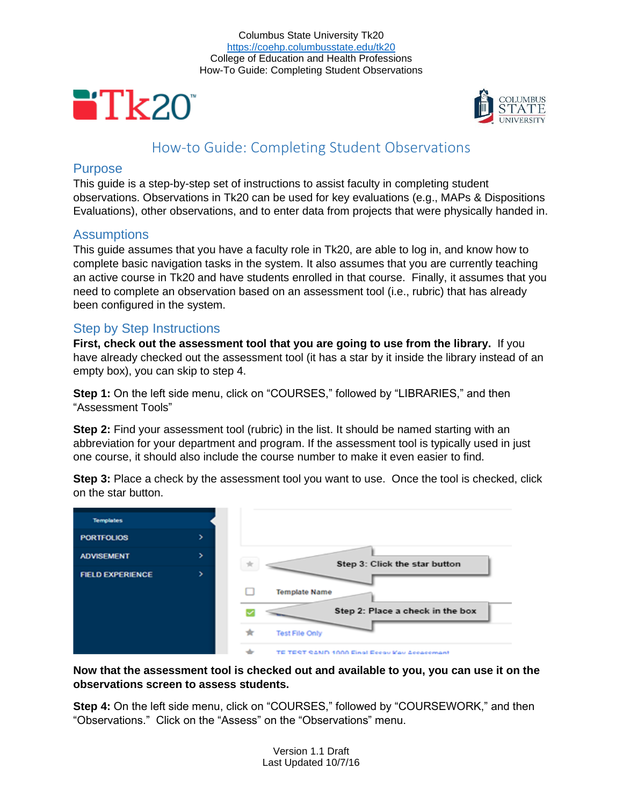Columbus State University Tk20 <https://coehp.columbusstate.edu/tk20> College of Education and Health Professions How-To Guide: Completing Student Observations





# How-to Guide: Completing Student Observations

### **Purpose**

This guide is a step-by-step set of instructions to assist faculty in completing student observations. Observations in Tk20 can be used for key evaluations (e.g., MAPs & Dispositions Evaluations), other observations, and to enter data from projects that were physically handed in.

### Assumptions

This guide assumes that you have a faculty role in Tk20, are able to log in, and know how to complete basic navigation tasks in the system. It also assumes that you are currently teaching an active course in Tk20 and have students enrolled in that course. Finally, it assumes that you need to complete an observation based on an assessment tool (i.e., rubric) that has already been configured in the system.

## Step by Step Instructions

**First, check out the assessment tool that you are going to use from the library.** If you have already checked out the assessment tool (it has a star by it inside the library instead of an empty box), you can skip to step 4.

**Step 1:** On the left side menu, click on "COURSES," followed by "LIBRARIES," and then "Assessment Tools"

**Step 2:** Find your assessment tool (rubric) in the list. It should be named starting with an abbreviation for your department and program. If the assessment tool is typically used in just one course, it should also include the course number to make it even easier to find.

**Step 3:** Place a check by the assessment tool you want to use. Once the tool is checked, click on the star button.



**Now that the assessment tool is checked out and available to you, you can use it on the observations screen to assess students.**

**Step 4:** On the left side menu, click on "COURSES," followed by "COURSEWORK," and then "Observations." Click on the "Assess" on the "Observations" menu.